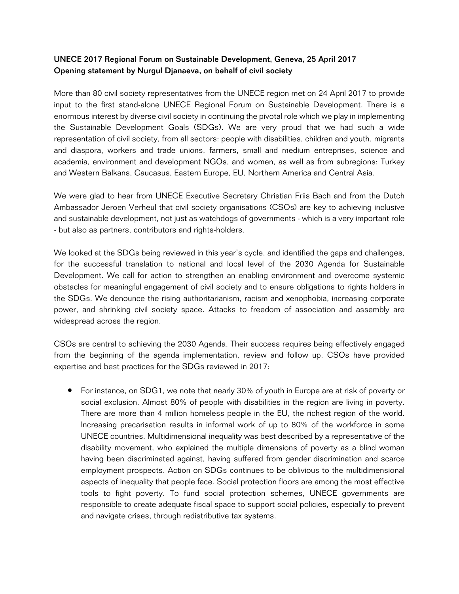## UNECE 2017 Regional Forum on Sustainable Development, Geneva, 25 April 2017 Opening statement by Nurgul Djanaeva, on behalf of civil society

More than 80 civil society representatives from the UNECE region met on 24 April 2017 to provide input to the first stand-alone UNECE Regional Forum on Sustainable Development. There is a enormous interest by diverse civil society in continuing the pivotal role which we play in implementing the Sustainable Development Goals (SDGs). We are very proud that we had such a wide representation of civil society, from all sectors: people with disabilities, children and youth, migrants and diaspora, workers and trade unions, farmers, small and medium entreprises, science and academia, environment and development NGOs, and women, as well as from subregions: Turkey and Western Balkans, Caucasus, Eastern Europe, EU, Northern America and Central Asia.

We were glad to hear from UNECE Executive Secretary Christian Friis Bach and from the Dutch Ambassador Jeroen Verheul that civil society organisations (CSOs) are key to achieving inclusive and sustainable development, not just as watchdogs of governments - which is a very important role - but also as partners, contributors and rights-holders.

We looked at the SDGs being reviewed in this year's cycle, and identified the gaps and challenges, for the successful translation to national and local level of the 2030 Agenda for Sustainable Development. We call for action to strengthen an enabling environment and overcome systemic obstacles for meaningful engagement of civil society and to ensure obligations to rights holders in the SDGs. We denounce the rising authoritarianism, racism and xenophobia, increasing corporate power, and shrinking civil society space. Attacks to freedom of association and assembly are widespread across the region.

CSOs are central to achieving the 2030 Agenda. Their success requires being effectively engaged from the beginning of the agenda implementation, review and follow up. CSOs have provided expertise and best practices for the SDGs reviewed in 2017:

● For instance, on SDG1, we note that nearly 30% of youth in Europe are at risk of poverty or social exclusion. Almost 80% of people with disabilities in the region are living in poverty. There are more than 4 million homeless people in the EU, the richest region of the world. Increasing precarisation results in informal work of up to 80% of the workforce in some UNECE countries. Multidimensional inequality was best described by a representative of the disability movement, who explained the multiple dimensions of poverty as a blind woman having been discriminated against, having suffered from gender discrimination and scarce employment prospects. Action on SDGs continues to be oblivious to the multidimensional aspects of inequality that people face. Social protection floors are among the most effective tools to fight poverty. To fund social protection schemes, UNECE governments are responsible to create adequate fiscal space to support social policies, especially to prevent and navigate crises, through redistributive tax systems.